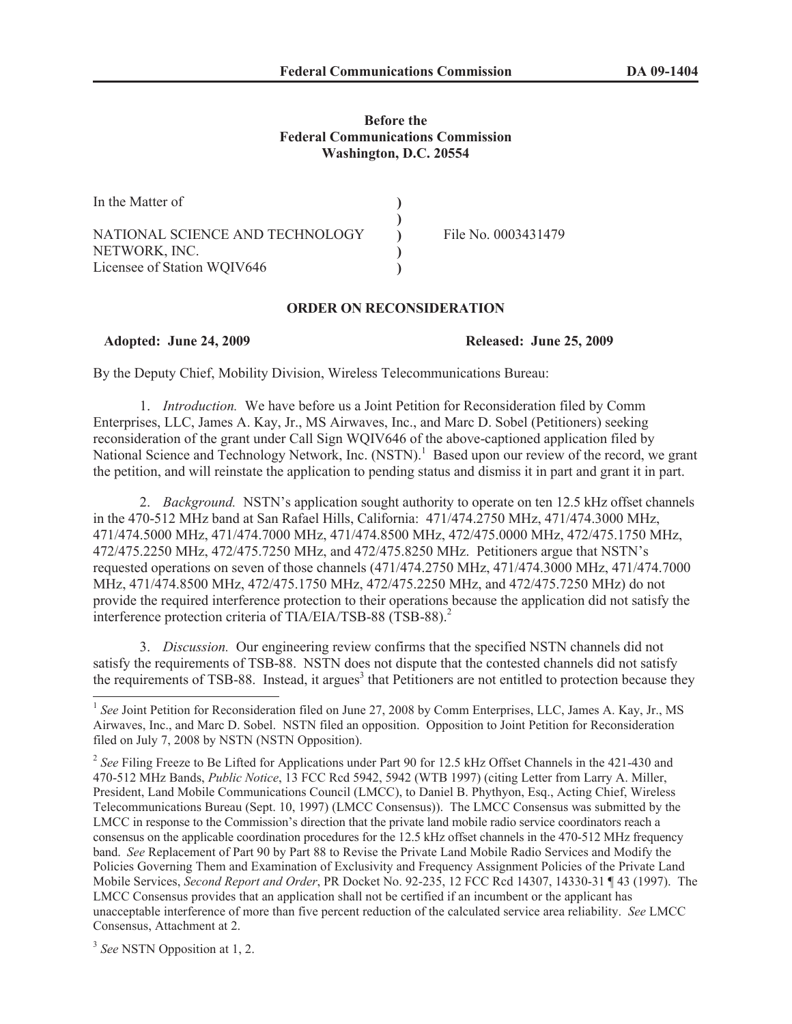## **Before the Federal Communications Commission Washington, D.C. 20554**

| In the Matter of                |                     |
|---------------------------------|---------------------|
|                                 |                     |
| NATIONAL SCIENCE AND TECHNOLOGY | File No. 0003431479 |
| NETWORK, INC.                   |                     |
| Licensee of Station WQIV646     |                     |

## **ORDER ON RECONSIDERATION**

**Adopted: June 24, 2009 Released: June 25, 2009**

By the Deputy Chief, Mobility Division, Wireless Telecommunications Bureau:

1. *Introduction.* We have before us a Joint Petition for Reconsideration filed by Comm Enterprises, LLC, James A. Kay, Jr., MS Airwaves, Inc., and Marc D. Sobel (Petitioners) seeking reconsideration of the grant under Call Sign WQIV646 of the above-captioned application filed by National Science and Technology Network, Inc. (NSTN).<sup>1</sup> Based upon our review of the record, we grant the petition, and will reinstate the application to pending status and dismiss it in part and grant it in part.

2. *Background.* NSTN's application sought authority to operate on ten 12.5 kHz offset channels in the 470-512 MHz band at San Rafael Hills, California: 471/474.2750 MHz, 471/474.3000 MHz, 471/474.5000 MHz, 471/474.7000 MHz, 471/474.8500 MHz, 472/475.0000 MHz, 472/475.1750 MHz, 472/475.2250 MHz, 472/475.7250 MHz, and 472/475.8250 MHz. Petitioners argue that NSTN's requested operations on seven of those channels (471/474.2750 MHz, 471/474.3000 MHz, 471/474.7000 MHz, 471/474.8500 MHz, 472/475.1750 MHz, 472/475.2250 MHz, and 472/475.7250 MHz) do not provide the required interference protection to their operations because the application did not satisfy the interference protection criteria of TIA/EIA/TSB-88 (TSB-88).<sup>2</sup>

3. *Discussion.* Our engineering review confirms that the specified NSTN channels did not satisfy the requirements of TSB-88. NSTN does not dispute that the contested channels did not satisfy the requirements of TSB-88. Instead, it argues<sup>3</sup> that Petitioners are not entitled to protection because they

<sup>&</sup>lt;sup>1</sup> See Joint Petition for Reconsideration filed on June 27, 2008 by Comm Enterprises, LLC, James A. Kay, Jr., MS Airwaves, Inc., and Marc D. Sobel. NSTN filed an opposition. Opposition to Joint Petition for Reconsideration filed on July 7, 2008 by NSTN (NSTN Opposition).

<sup>&</sup>lt;sup>2</sup> See Filing Freeze to Be Lifted for Applications under Part 90 for 12.5 kHz Offset Channels in the 421-430 and 470-512 MHz Bands, *Public Notice*, 13 FCC Rcd 5942, 5942 (WTB 1997) (citing Letter from Larry A. Miller, President, Land Mobile Communications Council (LMCC), to Daniel B. Phythyon, Esq., Acting Chief, Wireless Telecommunications Bureau (Sept. 10, 1997) (LMCC Consensus)). The LMCC Consensus was submitted by the LMCC in response to the Commission's direction that the private land mobile radio service coordinators reach a consensus on the applicable coordination procedures for the 12.5 kHz offset channels in the 470-512 MHz frequency band. *See* Replacement of Part 90 by Part 88 to Revise the Private Land Mobile Radio Services and Modify the Policies Governing Them and Examination of Exclusivity and Frequency Assignment Policies of the Private Land Mobile Services, *Second Report and Order*, PR Docket No. 92-235, 12 FCC Rcd 14307, 14330-31 ¶ 43 (1997). The LMCC Consensus provides that an application shall not be certified if an incumbent or the applicant has unacceptable interference of more than five percent reduction of the calculated service area reliability. *See* LMCC Consensus, Attachment at 2.

<sup>3</sup> *See* NSTN Opposition at 1, 2.